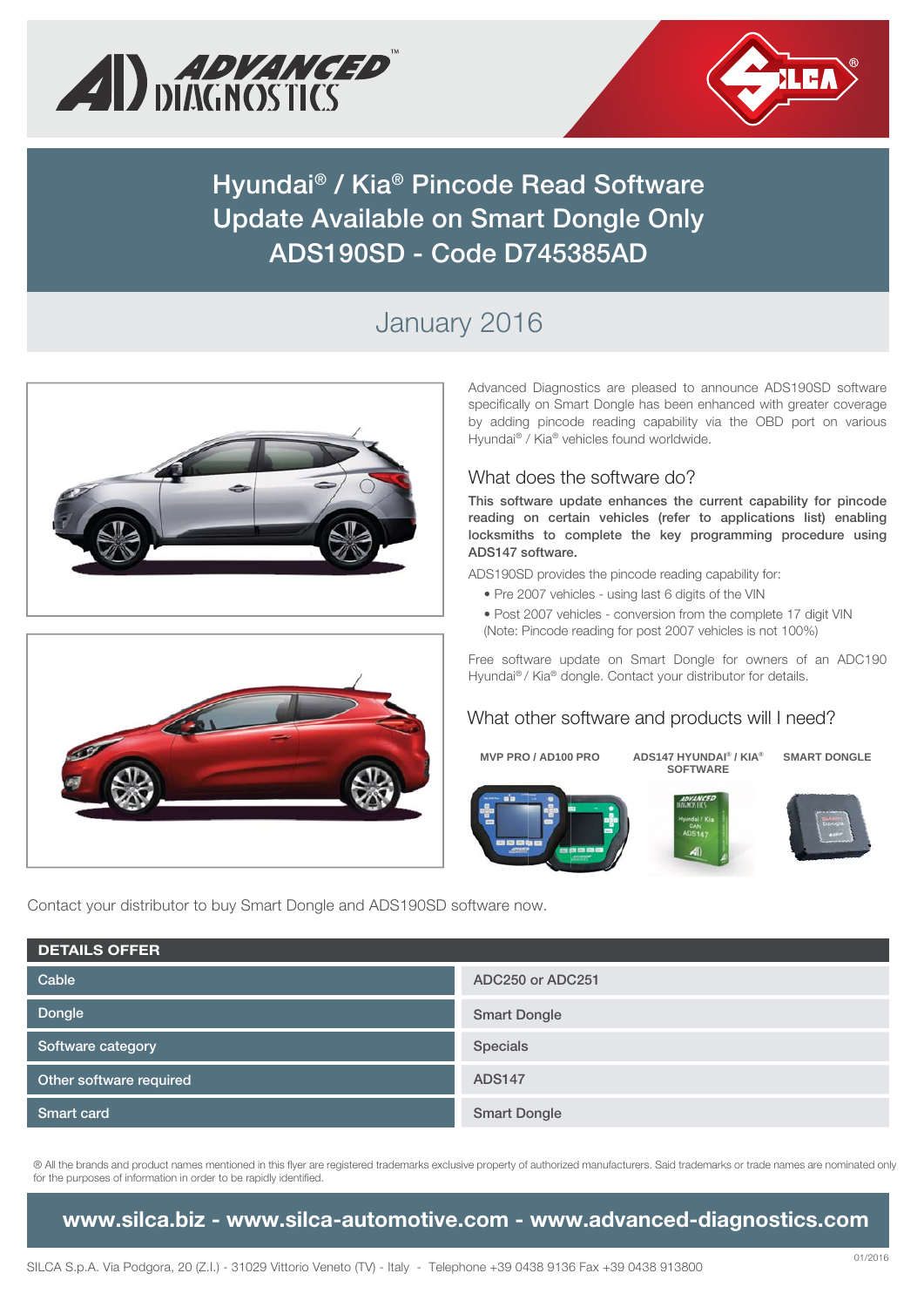



**Hyundai® / Kia® Pincode Read Software Update Available on Smart Dongle Only ADS190SD - Code D745385AD**

# January 2016





Advanced Diagnostics are pleased to announce ADS190SD software specifically on Smart Dongle has been enhanced with greater coverage by adding pincode reading capability via the OBD port on various Hyundai® / Kia® vehicles found worldwide.

#### What does the software do?

**This software update enhances the current capability for pincode reading on certain vehicles (refer to applications list) enabling locksmiths to complete the key programming procedure using ADS147 software.** 

ADS190SD provides the pincode reading capability for:

- Pre 2007 vehicles using last 6 digits of the VIN
- Post 2007 vehicles conversion from the complete 17 digit VIN (Note: Pincode reading for post 2007 vehicles is not 100%)

Free software update on Smart Dongle for owners of an ADC190 Hyundai® / Kia® dongle. Contact your distributor for details.

#### What other software and products will I need?

**MVP PRO / AD100 PRO ADS147 HYUNDAI® / KIA® SOFTWARE SMART DONGLE**

Contact your distributor to buy Smart Dongle and ADS190SD software now.

| <b>DETAILS OFFER</b>    |                     |  |  |  |
|-------------------------|---------------------|--|--|--|
| Cable                   | ADC250 or ADC251    |  |  |  |
| Dongle                  | <b>Smart Dongle</b> |  |  |  |
| Software category       | Specials            |  |  |  |
| Other software required | <b>ADS147</b>       |  |  |  |
| <b>Smart card</b>       | <b>Smart Dongle</b> |  |  |  |

® All the brands and product names mentioned in this flyer are registered trademarks exclusive property of authorized manufacturers. Said trademarks or trade names are nominated only for the purposes of information in order to be rapidly identified.

**www.silca.biz - www.silca-automotive.com - www.advanced-diagnostics.com**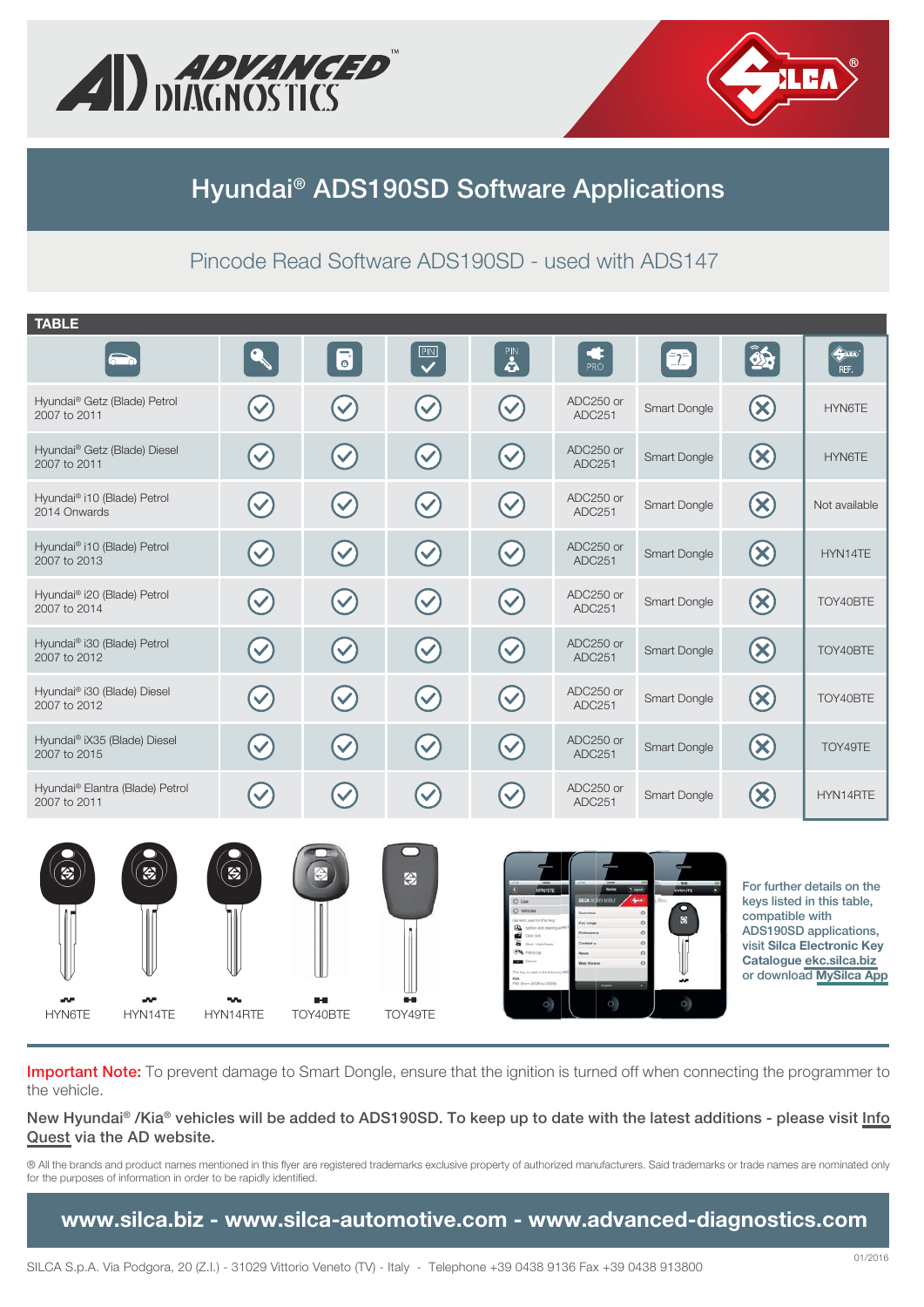



## **Hyundai® ADS190SD Software Applications**

### Pincode Read Software ADS190SD - used with ADS147

| <b>TABLE</b>                                             |                           |                                   |                           |                                                                                       |                                                         |                            |                 |                                                                                                                                                                        |
|----------------------------------------------------------|---------------------------|-----------------------------------|---------------------------|---------------------------------------------------------------------------------------|---------------------------------------------------------|----------------------------|-----------------|------------------------------------------------------------------------------------------------------------------------------------------------------------------------|
| 60                                                       | $\mathbf{Q}_n$            | $\overline{\bullet}$              | $\overline{\mathbf{P}}$   | $\mathbf{R}$                                                                          | PRO                                                     | $\bigcirc$                 | 85              | $\bigoplus_{i=1}^n$<br>REF.                                                                                                                                            |
| Hyundai® Getz (Blade) Petrol<br>2007 to 2011             | $\blacktriangledown$      | $\left(\blacktriangledown\right)$ | $\left(\checkmark\right)$ | $\left(\checkmark\right)$                                                             | ADC250 or<br>ADC251                                     | Smart Dongle               | $\bigotimes$    | HYN6TE                                                                                                                                                                 |
| Hyundai <sup>®</sup> Getz (Blade) Diesel<br>2007 to 2011 | $\blacktriangledown$      | $\left(\blacktriangledown\right)$ | $\blacktriangledown$      | $\left(\checkmark\right)$                                                             | ADC250 or<br>ADC251                                     | Smart Dongle               | $\bigotimes$    | HYN6TE                                                                                                                                                                 |
| Hyundai® i10 (Blade) Petrol<br>2014 Onwards              | $\blacktriangledown$      |                                   | $\blacktriangledown$      | $\blacktriangledown$                                                                  | ADC250 or<br>ADC251                                     | Smart Dongle               | $\bigotimes$    | Not available                                                                                                                                                          |
| Hyundai <sup>®</sup> i10 (Blade) Petrol<br>2007 to 2013  | $\blacktriangledown$      | $\left(\checkmark\right)$         | $\left(\checkmark\right)$ | $\bigvee$                                                                             | ADC250 or<br>ADC251                                     | Smart Dongle               | $\bigotimes$    | HYN14TE                                                                                                                                                                |
| Hyundai <sup>®</sup> i20 (Blade) Petrol<br>2007 to 2014  | $\blacktriangledown$      | $\blacktriangledown$              | $\blacktriangledown$      | $\left(\checkmark\right)$                                                             | ADC250 or<br>ADC251                                     | Smart Dongle               | $\bigotimes$    | TOY40BTE                                                                                                                                                               |
| Hyundai <sup>®</sup> i30 (Blade) Petrol<br>2007 to 2012  | $\blacktriangledown$      | $\blacktriangledown$              | $\blacktriangledown$      | $\blacktriangledown$                                                                  | ADC250 or<br>ADC251                                     | Smart Dongle               | $\bigotimes$    | TOY40BTE                                                                                                                                                               |
| Hyundai® i30 (Blade) Diesel<br>2007 to 2012              | $\blacktriangledown$      | $\blacktriangledown$              | $(\vee)$                  | $\left(\checkmark\right)$                                                             | ADC250 or<br>ADC251                                     | Smart Dongle               | $\bigcirc$      | TOY40BTE                                                                                                                                                               |
| Hyundai® iX35 (Blade) Diesel<br>2007 to 2015             | $\blacktriangledown$      | $\blacktriangledown$              | $\blacktriangledown$      | $\left(\checkmark\right)$                                                             | ADC250 or<br>ADC251                                     | Smart Dongle               | $\bigotimes$    | TOY49TE                                                                                                                                                                |
| Hyundai® Elantra (Blade) Petrol<br>2007 to 2011          | $\blacktriangledown$      | $\blacktriangledown$              | $\blacktriangledown$      | $\blacktriangledown$                                                                  | ADC250 or<br>ADC251                                     | Smart Dongle               | $\bigotimes$    | HYN14RTE                                                                                                                                                               |
| $\ddot{z}$<br>$\bigotimes$                               | $\left(  \bullet \right)$ | ⊜                                 | 金                         | O Use<br>C) Wh<br>are for this key.<br>40<br>à<br>$\mathcal{L}$<br>C Rom 2006 to 2009 | <b>SILCA</b> INCITE MOVE<br>dari u<br><b>Vet Versie</b> | WHITE<br>O<br>$\mathbf{g}$ | compatible with | For further details on the<br>keys listed in this table,<br>ADS190SD applications,<br>visit Silca Electronic Key<br>Catalogue ekc.silca.biz<br>or download MySilca App |

**Important Note:** To prevent damage to Smart Dongle, ensure that the ignition is turned off when connecting the programmer to the vehicle.

 $\overline{O}$ 

ã.

**New Hyundai® /Kia® vehicles will be added to ADS190SD. To keep up to date with the latest additions - please visit [Info](http://iq.advanced-diagnostics.com/vd/ad.aspx)  [Quest](http://iq.advanced-diagnostics.com/vd/ad.aspx) via the AD website.**

® All the brands and product names mentioned in this flyer are registered trademarks exclusive property of authorized manufacturers. Said trademarks or trade names are nominated only for the purposes of information in order to be rapidly identified.

**www.silca.biz - www.silca-automotive.com - www.advanced-diagnostics.com**

HYN6TE HYN14TE HYN14RTE TOY40BTE TOY49TE

**AMP**